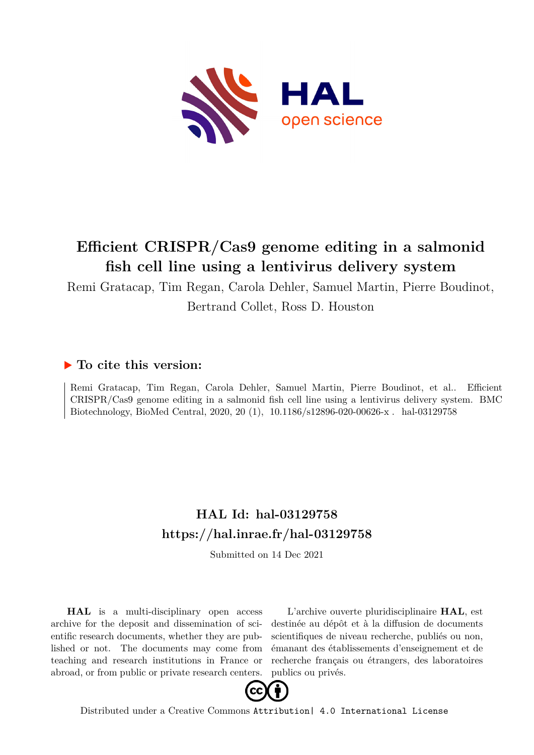

## **Efficient CRISPR/Cas9 genome editing in a salmonid fish cell line using a lentivirus delivery system**

Remi Gratacap, Tim Regan, Carola Dehler, Samuel Martin, Pierre Boudinot,

Bertrand Collet, Ross D. Houston

## **To cite this version:**

Remi Gratacap, Tim Regan, Carola Dehler, Samuel Martin, Pierre Boudinot, et al.. Efficient CRISPR/Cas9 genome editing in a salmonid fish cell line using a lentivirus delivery system. BMC Biotechnology, BioMed Central, 2020, 20 (1), 10.1186/s12896-020-00626-x. hal-03129758

## **HAL Id: hal-03129758 <https://hal.inrae.fr/hal-03129758>**

Submitted on 14 Dec 2021

**HAL** is a multi-disciplinary open access archive for the deposit and dissemination of scientific research documents, whether they are published or not. The documents may come from teaching and research institutions in France or abroad, or from public or private research centers.

L'archive ouverte pluridisciplinaire **HAL**, est destinée au dépôt et à la diffusion de documents scientifiques de niveau recherche, publiés ou non, émanant des établissements d'enseignement et de recherche français ou étrangers, des laboratoires publics ou privés.



Distributed under a Creative Commons [Attribution| 4.0 International License](http://creativecommons.org/licenses/by/4.0/)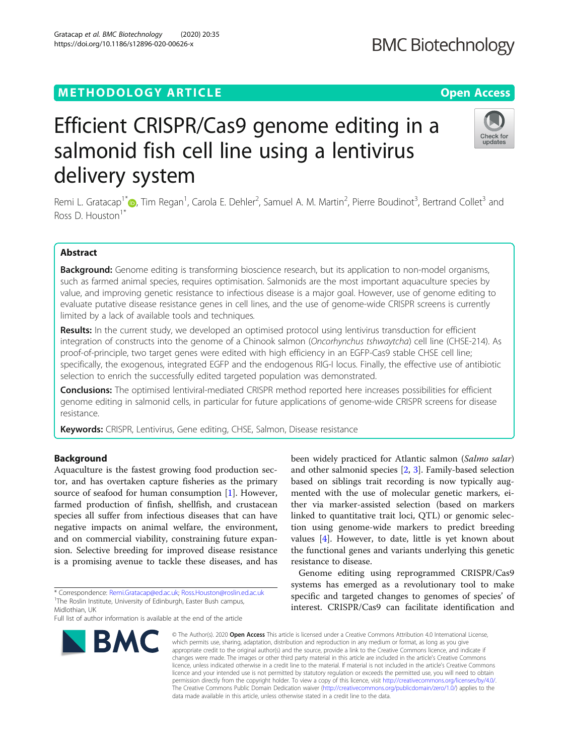### **METHODOLOGY ARTICLE CONSUMING A RESERVE AND LODGE ACCESS**

## Efficient CRISPR/Cas9 genome editing in a salmonid fish cell line using a lentivirus delivery system

Remi L. Gratacap<sup>1\*</sup>®[,](http://orcid.org/0000-0001-9853-2205) Tim Regan<sup>1</sup>, Carola E. Dehler<sup>2</sup>, Samuel A. M. Martin<sup>2</sup>, Pierre Boudinot<sup>3</sup>, Bertrand Collet<sup>3</sup> and Ross D. Houston<sup>1\*</sup>

#### Abstract

Background: Genome editing is transforming bioscience research, but its application to non-model organisms, such as farmed animal species, requires optimisation. Salmonids are the most important aquaculture species by value, and improving genetic resistance to infectious disease is a major goal. However, use of genome editing to evaluate putative disease resistance genes in cell lines, and the use of genome-wide CRISPR screens is currently limited by a lack of available tools and techniques.

Results: In the current study, we developed an optimised protocol using lentivirus transduction for efficient integration of constructs into the genome of a Chinook salmon (Oncorhynchus tshwaytcha) cell line (CHSE-214). As proof-of-principle, two target genes were edited with high efficiency in an EGFP-Cas9 stable CHSE cell line; specifically, the exogenous, integrated EGFP and the endogenous RIG-I locus. Finally, the effective use of antibiotic selection to enrich the successfully edited targeted population was demonstrated.

Conclusions: The optimised lentiviral-mediated CRISPR method reported here increases possibilities for efficient genome editing in salmonid cells, in particular for future applications of genome-wide CRISPR screens for disease resistance.

Keywords: CRISPR, Lentivirus, Gene editing, CHSE, Salmon, Disease resistance

#### Background

Aquaculture is the fastest growing food production sector, and has overtaken capture fisheries as the primary source of seafood for human consumption [1]. However, farmed production of finfish, shellfish, and crustacean species all suffer from infectious diseases that can have negative impacts on animal welfare, the environment, and on commercial viability, constraining future expansion. Selective breeding for improved disease resistance is a promising avenue to tackle these diseases, and has

\* Correspondence: [Remi.Gratacap@ed.ac.uk;](mailto:Remi.Gratacap@ed.ac.uk) [Ross.Houston@roslin.ed.ac.uk](mailto:Ross.Houston@roslin.ed.ac.uk) <sup>1</sup> <sup>1</sup>The Roslin Institute, University of Edinburgh, Easter Bush campus, Midlothian, UK

Full list of author information is available at the end of the article

# **BMC**

tion using genome-wide markers to predict breeding values [4]. However, to date, little is yet known about the functional genes and variants underlying this genetic resistance to disease. Genome editing using reprogrammed CRISPR/Cas9 systems has emerged as a revolutionary tool to make specific and targeted changes to genomes of species' of interest. CRISPR/Cas9 can facilitate identification and

been widely practiced for Atlantic salmon (Salmo salar) and other salmonid species [2, 3]. Family-based selection based on siblings trait recording is now typically augmented with the use of molecular genetic markers, either via marker-assisted selection (based on markers linked to quantitative trait loci, QTL) or genomic selec-

© The Author(s), 2020 **Open Access** This article is licensed under a Creative Commons Attribution 4.0 International License, which permits use, sharing, adaptation, distribution and reproduction in any medium or format, as long as you give appropriate credit to the original author(s) and the source, provide a link to the Creative Commons licence, and indicate if changes were made. The images or other third party material in this article are included in the article's Creative Commons licence, unless indicated otherwise in a credit line to the material. If material is not included in the article's Creative Commons licence and your intended use is not permitted by statutory regulation or exceeds the permitted use, you will need to obtain permission directly from the copyright holder. To view a copy of this licence, visit [http://creativecommons.org/licenses/by/4.0/.](http://creativecommons.org/licenses/by/4.0/) The Creative Commons Public Domain Dedication waiver [\(http://creativecommons.org/publicdomain/zero/1.0/](http://creativecommons.org/publicdomain/zero/1.0/)) applies to the data made available in this article, unless otherwise stated in a credit line to the data.





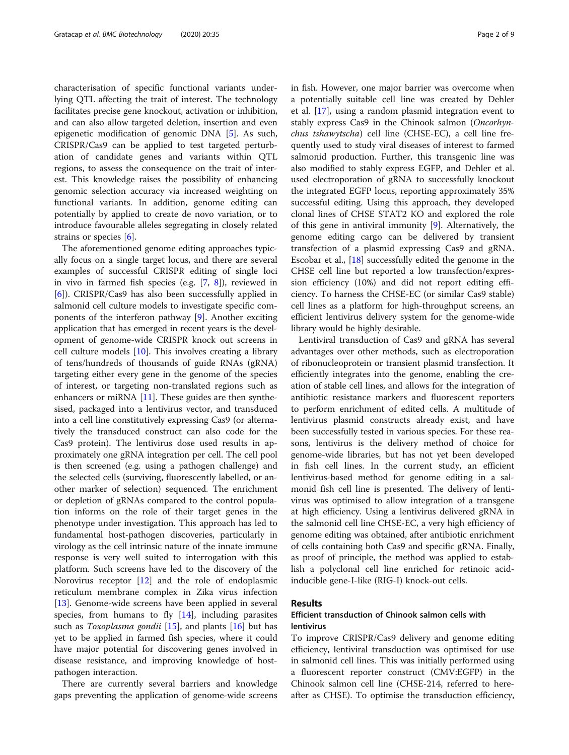characterisation of specific functional variants underlying QTL affecting the trait of interest. The technology facilitates precise gene knockout, activation or inhibition, and can also allow targeted deletion, insertion and even epigenetic modification of genomic DNA [5]. As such, CRISPR/Cas9 can be applied to test targeted perturbation of candidate genes and variants within QTL regions, to assess the consequence on the trait of interest. This knowledge raises the possibility of enhancing genomic selection accuracy via increased weighting on functional variants. In addition, genome editing can potentially by applied to create de novo variation, or to introduce favourable alleles segregating in closely related strains or species [6].

The aforementioned genome editing approaches typically focus on a single target locus, and there are several examples of successful CRISPR editing of single loci in vivo in farmed fish species (e.g. [7, 8]), reviewed in [6]). CRISPR/Cas9 has also been successfully applied in salmonid cell culture models to investigate specific components of the interferon pathway [9]. Another exciting application that has emerged in recent years is the development of genome-wide CRISPR knock out screens in cell culture models [10]. This involves creating a library of tens/hundreds of thousands of guide RNAs (gRNA) targeting either every gene in the genome of the species of interest, or targeting non-translated regions such as enhancers or miRNA  $[11]$ . These guides are then synthesised, packaged into a lentivirus vector, and transduced into a cell line constitutively expressing Cas9 (or alternatively the transduced construct can also code for the Cas9 protein). The lentivirus dose used results in approximately one gRNA integration per cell. The cell pool is then screened (e.g. using a pathogen challenge) and the selected cells (surviving, fluorescently labelled, or another marker of selection) sequenced. The enrichment or depletion of gRNAs compared to the control population informs on the role of their target genes in the phenotype under investigation. This approach has led to fundamental host-pathogen discoveries, particularly in virology as the cell intrinsic nature of the innate immune response is very well suited to interrogation with this platform. Such screens have led to the discovery of the Norovirus receptor [12] and the role of endoplasmic reticulum membrane complex in Zika virus infection [13]. Genome-wide screens have been applied in several species, from humans to fly  $[14]$ , including parasites such as *Toxoplasma gondii* [15], and plants  $[16]$  but has yet to be applied in farmed fish species, where it could have major potential for discovering genes involved in disease resistance, and improving knowledge of hostpathogen interaction.

There are currently several barriers and knowledge gaps preventing the application of genome-wide screens in fish. However, one major barrier was overcome when a potentially suitable cell line was created by Dehler et al. [17], using a random plasmid integration event to stably express Cas9 in the Chinook salmon (Oncorhynchus tshawytscha) cell line (CHSE-EC), a cell line frequently used to study viral diseases of interest to farmed salmonid production. Further, this transgenic line was also modified to stably express EGFP, and Dehler et al. used electroporation of gRNA to successfully knockout the integrated EGFP locus, reporting approximately 35% successful editing. Using this approach, they developed clonal lines of CHSE STAT2 KO and explored the role of this gene in antiviral immunity [9]. Alternatively, the genome editing cargo can be delivered by transient transfection of a plasmid expressing Cas9 and gRNA. Escobar et al., [18] successfully edited the genome in the CHSE cell line but reported a low transfection/expression efficiency (10%) and did not report editing efficiency. To harness the CHSE-EC (or similar Cas9 stable) cell lines as a platform for high-throughput screens, an efficient lentivirus delivery system for the genome-wide library would be highly desirable.

Lentiviral transduction of Cas9 and gRNA has several advantages over other methods, such as electroporation of ribonucleoprotein or transient plasmid transfection. It efficiently integrates into the genome, enabling the creation of stable cell lines, and allows for the integration of antibiotic resistance markers and fluorescent reporters to perform enrichment of edited cells. A multitude of lentivirus plasmid constructs already exist, and have been successfully tested in various species. For these reasons, lentivirus is the delivery method of choice for genome-wide libraries, but has not yet been developed in fish cell lines. In the current study, an efficient lentivirus-based method for genome editing in a salmonid fish cell line is presented. The delivery of lentivirus was optimised to allow integration of a transgene at high efficiency. Using a lentivirus delivered gRNA in the salmonid cell line CHSE-EC, a very high efficiency of genome editing was obtained, after antibiotic enrichment of cells containing both Cas9 and specific gRNA. Finally, as proof of principle, the method was applied to establish a polyclonal cell line enriched for retinoic acidinducible gene-I-like (RIG-I) knock-out cells.

#### Results

#### Efficient transduction of Chinook salmon cells with lentivirus

To improve CRISPR/Cas9 delivery and genome editing efficiency, lentiviral transduction was optimised for use in salmonid cell lines. This was initially performed using a fluorescent reporter construct (CMV:EGFP) in the Chinook salmon cell line (CHSE-214, referred to hereafter as CHSE). To optimise the transduction efficiency,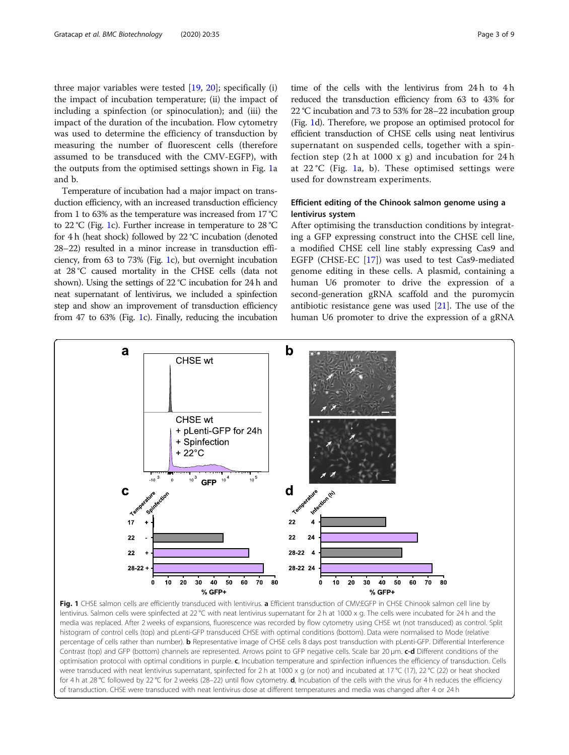three major variables were tested [19, 20]; specifically (i) the impact of incubation temperature; (ii) the impact of including a spinfection (or spinoculation); and (iii) the impact of the duration of the incubation. Flow cytometry was used to determine the efficiency of transduction by measuring the number of fluorescent cells (therefore assumed to be transduced with the CMV-EGFP), with the outputs from the optimised settings shown in Fig. 1a and b.

Temperature of incubation had a major impact on transduction efficiency, with an increased transduction efficiency from 1 to 63% as the temperature was increased from 17 °C to 22 °C (Fig. 1c). Further increase in temperature to 28 °C for 4 h (heat shock) followed by 22 °C incubation (denoted 28–22) resulted in a minor increase in transduction efficiency, from 63 to 73% (Fig. 1c), but overnight incubation at 28 °C caused mortality in the CHSE cells (data not shown). Using the settings of 22 °C incubation for 24 h and neat supernatant of lentivirus, we included a spinfection step and show an improvement of transduction efficiency from 47 to 63% (Fig. 1c). Finally, reducing the incubation time of the cells with the lentivirus from 24 h to 4 h reduced the transduction efficiency from 63 to 43% for 22 °C incubation and 73 to 53% for 28–22 incubation group (Fig. 1d). Therefore, we propose an optimised protocol for efficient transduction of CHSE cells using neat lentivirus supernatant on suspended cells, together with a spinfection step  $(2 h at 1000 x g)$  and incubation for  $24 h$ at  $22^{\circ}$ C (Fig. 1a, b). These optimised settings were used for downstream experiments.

#### Efficient editing of the Chinook salmon genome using a lentivirus system

After optimising the transduction conditions by integrating a GFP expressing construct into the CHSE cell line, a modified CHSE cell line stably expressing Cas9 and EGFP (CHSE-EC [17]) was used to test Cas9-mediated genome editing in these cells. A plasmid, containing a human U6 promoter to drive the expression of a second-generation gRNA scaffold and the puromycin antibiotic resistance gene was used  $[21]$ . The use of the human U6 promoter to drive the expression of a gRNA



Fig. 1 CHSE salmon cells are efficiently transduced with lentivirus. a Efficient transduction of CMV:EGFP in CHSE Chinook salmon cell line by lentivirus. Salmon cells were spinfected at 22 °C with neat lentivirus supernatant for 2 h at 1000 x g. The cells were incubated for 24 h and the media was replaced. After 2 weeks of expansions, fluorescence was recorded by flow cytometry using CHSE wt (not transduced) as control. Split histogram of control cells (top) and pLenti-GFP transduced CHSE with optimal conditions (bottom). Data were normalised to Mode (relative percentage of cells rather than number). **b** Representative image of CHSE cells 8 days post transduction with pLenti-GFP. Differential Interference Contrast (top) and GFP (bottom) channels are represented. Arrows point to GFP negative cells. Scale bar 20 μm. c-d Different conditions of the optimisation protocol with optimal conditions in purple. c, Incubation temperature and spinfection influences the efficiency of transduction. Cells were transduced with neat lentivirus supernatant, spinfected for 2 h at 1000 x g (or not) and incubated at 17 °C (17), 22 °C (22) or heat shocked for 4 h at 28 °C followed by 22 °C for 2 weeks (28–22) until flow cytometry. **d**, Incubation of the cells with the virus for 4 h reduces the efficiency of transduction. CHSE were transduced with neat lentivirus dose at different temperatures and media was changed after 4 or 24 h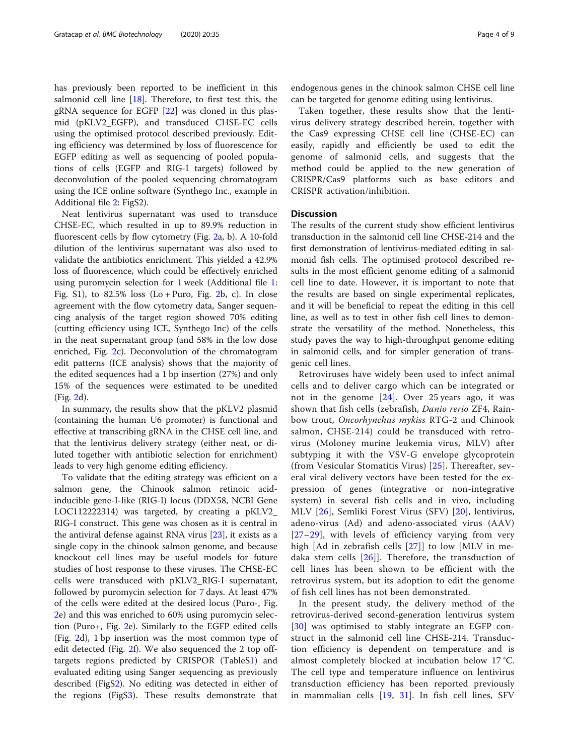has previously been reported to be inefficient in this salmonid cell line [18]. Therefore, to first test this, the gRNA sequence for EGFP [22] was cloned in this plasmid (pKLV2\_EGFP), and transduced CHSE-EC cells using the optimised protocol described previously. Editing efficiency was determined by loss of fluorescence for EGFP editing as well as sequencing of pooled populations of cells (EGFP and RIG-I targets) followed by deconvolution of the pooled sequencing chromatogram using the ICE online software (Synthego Inc., example in Additional file 2: FigS2).

Neat lentivirus supernatant was used to transduce CHSE-EC, which resulted in up to 89.9% reduction in fluorescent cells by flow cytometry (Fig. 2a, b). A 10-fold dilution of the lentivirus supernatant was also used to validate the antibiotics enrichment. This yielded a 42.9% loss of fluorescence, which could be effectively enriched using puromycin selection for 1 week (Additional file 1: Fig. S1), to  $82.5\%$  loss (Lo + Puro, Fig. 2b, c). In close agreement with the flow cytometry data, Sanger sequencing analysis of the target region showed 70% editing (cutting efficiency using ICE, Synthego Inc) of the cells in the neat supernatant group (and 58% in the low dose enriched, Fig. 2c). Deconvolution of the chromatogram edit patterns (ICE analysis) shows that the majority of the edited sequences had a 1 bp insertion (27%) and only 15% of the sequences were estimated to be unedited (Fig. 2d).

In summary, the results show that the pKLV2 plasmid (containing the human U6 promoter) is functional and effective at transcribing gRNA in the CHSE cell line, and that the lentivirus delivery strategy (either neat, or diluted together with antibiotic selection for enrichment) leads to very high genome editing efficiency.

To validate that the editing strategy was efficient on a salmon gene, the Chinook salmon retinoic acidinducible gene-I-like (RIG-I) locus (DDX58, NCBI Gene LOC112222314) was targeted, by creating a pKLV2\_ RIG-I construct. This gene was chosen as it is central in the antiviral defense against RNA virus [23], it exists as a single copy in the chinook salmon genome, and because knockout cell lines may be useful models for future studies of host response to these viruses. The CHSE-EC cells were transduced with pKLV2\_RIG-I supernatant, followed by puromycin selection for 7 days. At least 47% of the cells were edited at the desired locus (Puro-, Fig. 2e) and this was enriched to 60% using puromycin selection (Puro+, Fig. 2e). Similarly to the EGFP edited cells (Fig. 2d), 1 bp insertion was the most common type of edit detected (Fig. 2f). We also sequenced the 2 top offtargets regions predicted by CRISPOR (TableS1) and evaluated editing using Sanger sequencing as previously described (FigS2). No editing was detected in either of the regions (FigS3). These results demonstrate that

endogenous genes in the chinook salmon CHSE cell line can be targeted for genome editing using lentivirus.

Taken together, these results show that the lentivirus delivery strategy described herein, together with the Cas9 expressing CHSE cell line (CHSE-EC) can easily, rapidly and efficiently be used to edit the genome of salmonid cells, and suggests that the method could be applied to the new generation of CRISPR/Cas9 platforms such as base editors and CRISPR activation/inhibition.

#### **Discussion**

The results of the current study show efficient lentivirus transduction in the salmonid cell line CHSE-214 and the first demonstration of lentivirus-mediated editing in salmonid fish cells. The optimised protocol described results in the most efficient genome editing of a salmonid cell line to date. However, it is important to note that the results are based on single experimental replicates, and it will be beneficial to repeat the editing in this cell line, as well as to test in other fish cell lines to demonstrate the versatility of the method. Nonetheless, this study paves the way to high-throughput genome editing in salmonid cells, and for simpler generation of transgenic cell lines.

Retroviruses have widely been used to infect animal cells and to deliver cargo which can be integrated or not in the genome [24]. Over 25 years ago, it was shown that fish cells (zebrafish, Danio rerio ZF4, Rainbow trout, Oncorhynchus mykiss RTG-2 and Chinook salmon, CHSE-214) could be transduced with retrovirus (Moloney murine leukemia virus, MLV) after subtyping it with the VSV-G envelope glycoprotein (from Vesicular Stomatitis Virus) [25]. Thereafter, several viral delivery vectors have been tested for the expression of genes (integrative or non-integrative system) in several fish cells and in vivo, including MLV [26], Semliki Forest Virus (SFV) [20], lentivirus, adeno-virus (Ad) and adeno-associated virus (AAV) [27–29], with levels of efficiency varying from very high [Ad in zebrafish cells [27]] to low [MLV in medaka stem cells [26]]. Therefore, the transduction of cell lines has been shown to be efficient with the retrovirus system, but its adoption to edit the genome of fish cell lines has not been demonstrated.

In the present study, the delivery method of the retrovirus-derived second-generation lentivirus system [30] was optimised to stably integrate an EGFP construct in the salmonid cell line CHSE-214. Transduction efficiency is dependent on temperature and is almost completely blocked at incubation below 17 °C. The cell type and temperature influence on lentivirus transduction efficiency has been reported previously in mammalian cells [19, 31]. In fish cell lines, SFV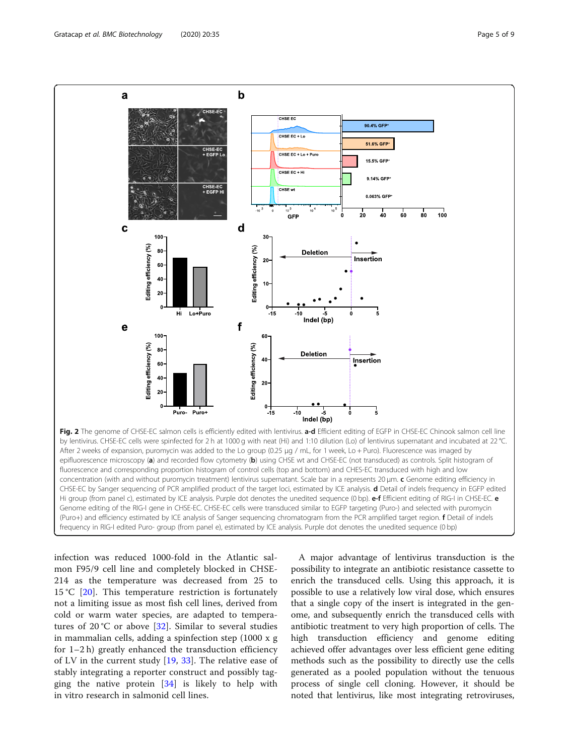

infection was reduced 1000-fold in the Atlantic salmon F95/9 cell line and completely blocked in CHSE-214 as the temperature was decreased from 25 to 15 °C [20]. This temperature restriction is fortunately not a limiting issue as most fish cell lines, derived from cold or warm water species, are adapted to temperatures of 20 °C or above  $[32]$ . Similar to several studies in mammalian cells, adding a spinfection step (1000 x g for 1–2 h) greatly enhanced the transduction efficiency of LV in the current study  $[19, 33]$ . The relative ease of stably integrating a reporter construct and possibly tagging the native protein  $[34]$  is likely to help with in vitro research in salmonid cell lines.

A major advantage of lentivirus transduction is the possibility to integrate an antibiotic resistance cassette to enrich the transduced cells. Using this approach, it is possible to use a relatively low viral dose, which ensures that a single copy of the insert is integrated in the genome, and subsequently enrich the transduced cells with antibiotic treatment to very high proportion of cells. The high transduction efficiency and genome editing achieved offer advantages over less efficient gene editing methods such as the possibility to directly use the cells generated as a pooled population without the tenuous process of single cell cloning. However, it should be noted that lentivirus, like most integrating retroviruses,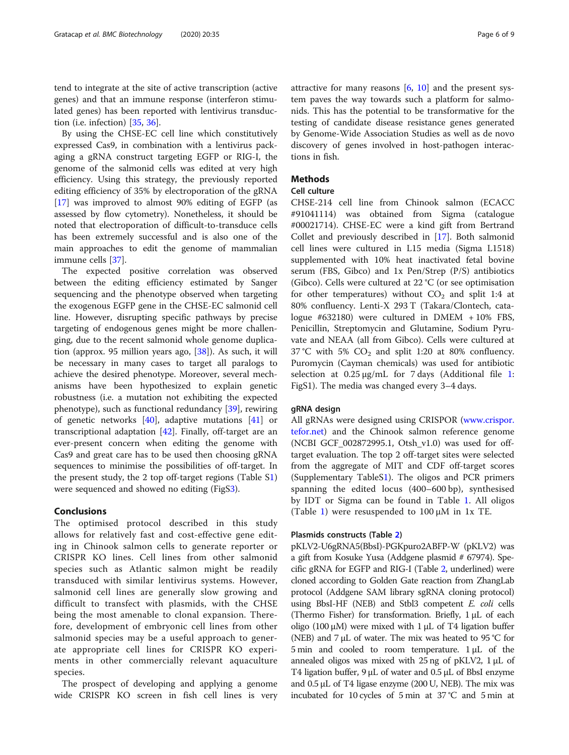tend to integrate at the site of active transcription (active genes) and that an immune response (interferon stimulated genes) has been reported with lentivirus transduction (i.e. infection)  $[35, 36]$ .

By using the CHSE-EC cell line which constitutively expressed Cas9, in combination with a lentivirus packaging a gRNA construct targeting EGFP or RIG-I, the genome of the salmonid cells was edited at very high efficiency. Using this strategy, the previously reported editing efficiency of 35% by electroporation of the gRNA [17] was improved to almost 90% editing of EGFP (as assessed by flow cytometry). Nonetheless, it should be noted that electroporation of difficult-to-transduce cells has been extremely successful and is also one of the main approaches to edit the genome of mammalian immune cells [37].

The expected positive correlation was observed between the editing efficiency estimated by Sanger sequencing and the phenotype observed when targeting the exogenous EGFP gene in the CHSE-EC salmonid cell line. However, disrupting specific pathways by precise targeting of endogenous genes might be more challenging, due to the recent salmonid whole genome duplication (approx. 95 million years ago, [38]). As such, it will be necessary in many cases to target all paralogs to achieve the desired phenotype. Moreover, several mechanisms have been hypothesized to explain genetic robustness (i.e. a mutation not exhibiting the expected phenotype), such as functional redundancy [39], rewiring of genetic networks [40], adaptive mutations [41] or transcriptional adaptation [42]. Finally, off-target are an ever-present concern when editing the genome with Cas9 and great care has to be used then choosing gRNA sequences to minimise the possibilities of off-target. In the present study, the 2 top off-target regions (Table S1) were sequenced and showed no editing (FigS3).

#### Conclusions

The optimised protocol described in this study allows for relatively fast and cost-effective gene editing in Chinook salmon cells to generate reporter or CRISPR KO lines. Cell lines from other salmonid species such as Atlantic salmon might be readily transduced with similar lentivirus systems. However, salmonid cell lines are generally slow growing and difficult to transfect with plasmids, with the CHSE being the most amenable to clonal expansion. Therefore, development of embryonic cell lines from other salmonid species may be a useful approach to generate appropriate cell lines for CRISPR KO experiments in other commercially relevant aquaculture species.

The prospect of developing and applying a genome wide CRISPR KO screen in fish cell lines is very attractive for many reasons  $[6, 10]$  and the present system paves the way towards such a platform for salmonids. This has the potential to be transformative for the testing of candidate disease resistance genes generated by Genome-Wide Association Studies as well as de novo discovery of genes involved in host-pathogen interactions in fish.

#### **Methods**

#### Cell culture

CHSE-214 cell line from Chinook salmon (ECACC #91041114) was obtained from Sigma (catalogue #00021714). CHSE-EC were a kind gift from Bertrand Collet and previously described in [17]. Both salmonid cell lines were cultured in L15 media (Sigma L1518) supplemented with 10% heat inactivated fetal bovine serum (FBS, Gibco) and 1x Pen/Strep (P/S) antibiotics (Gibco). Cells were cultured at 22 °C (or see optimisation for other temperatures) without  $CO<sub>2</sub>$  and split 1:4 at 80% confluency. Lenti-X 293 T (Takara/Clontech, catalogue #632180) were cultured in DMEM + 10% FBS, Penicillin, Streptomycin and Glutamine, Sodium Pyruvate and NEAA (all from Gibco). Cells were cultured at 37 °C with 5%  $CO<sub>2</sub>$  and split 1:20 at 80% confluency. Puromycin (Cayman chemicals) was used for antibiotic selection at  $0.25 \mu g/mL$  for 7 days (Additional file 1: FigS1). The media was changed every 3–4 days.

#### gRNA design

All gRNAs were designed using CRISPOR [\(www.crispor.](http://www.crispor.tefor.net) [tefor.net](http://www.crispor.tefor.net)) and the Chinook salmon reference genome (NCBI GCF\_002872995.1, Otsh\_v1.0) was used for offtarget evaluation. The top 2 off-target sites were selected from the aggregate of MIT and CDF off-target scores (Supplementary TableS1). The oligos and PCR primers spanning the edited locus (400–600 bp), synthesised by IDT or Sigma can be found in Table 1. All oligos (Table 1) were resuspended to  $100 \mu$ M in 1x TE.

#### Plasmids constructs (Table 2)

pKLV2-U6gRNA5(BbsI)-PGKpuro2ABFP-W (pKLV2) was a gift from Kosuke Yusa (Addgene plasmid # 67974). Specific gRNA for EGFP and RIG-I (Table 2, underlined) were cloned according to Golden Gate reaction from ZhangLab protocol (Addgene SAM library sgRNA cloning protocol) using BbsI-HF (NEB) and Stbl3 competent *E. coli* cells (Thermo Fisher) for transformation. Briefly, 1 μL of each oligo (100 μM) were mixed with 1 μL of T4 ligation buffer (NEB) and  $7 \mu$ L of water. The mix was heated to 95 °C for 5 min and cooled to room temperature. 1 μL of the annealed oligos was mixed with 25 ng of pKLV2, 1 μL of T4 ligation buffer, 9 μL of water and 0.5 μL of BbsI enzyme and 0.5 μL of T4 ligase enzyme (200 U, NEB). The mix was incubated for 10 cycles of 5 min at 37 °C and 5 min at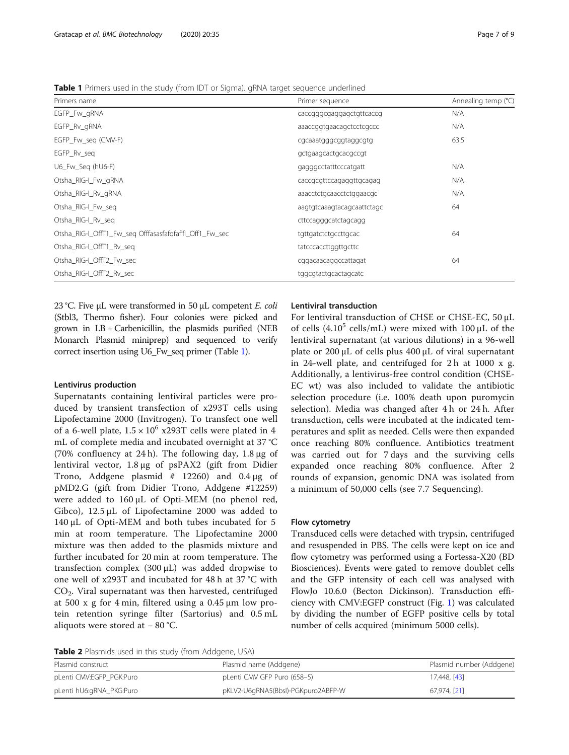23 °C. Five μL were transformed in 50 μL competent *E. coli* (Stbl3, Thermo fisher). Four colonies were picked and grown in LB + Carbenicillin, the plasmids purified (NEB Monarch Plasmid miniprep) and sequenced to verify correct insertion using U6\_Fw\_seq primer (Table 1).

#### Lentivirus production

Supernatants containing lentiviral particles were produced by transient transfection of x293T cells using Lipofectamine 2000 (Invitrogen). To transfect one well of a 6-well plate,  $1.5 \times 10^6$  x293T cells were plated in 4 mL of complete media and incubated overnight at 37 °C (70% confluency at 24 h). The following day,  $1.8 \mu$ g of lentiviral vector, 1.8 μg of psPAX2 (gift from Didier Trono, Addgene plasmid  $# 12260$ ) and  $0.4 \mu g$  of pMD2.G (gift from Didier Trono, Addgene #12259) were added to 160 μL of Opti-MEM (no phenol red, Gibco), 12.5 μL of Lipofectamine 2000 was added to 140 μL of Opti-MEM and both tubes incubated for 5 min at room temperature. The Lipofectamine 2000 mixture was then added to the plasmids mixture and further incubated for 20 min at room temperature. The transfection complex (300 μL) was added dropwise to one well of x293T and incubated for 48 h at 37 °C with CO2. Viral supernatant was then harvested, centrifuged at 500 x g for 4 min, filtered using a 0.45 μm low protein retention syringe filter (Sartorius) and 0.5 mL aliquots were stored at − 80 °C.

#### Lentiviral transduction

For lentiviral transduction of CHSE or CHSE-EC, 50 μL of cells  $(4.10^5 \text{ cells/mL})$  were mixed with 100  $\mu$ L of the lentiviral supernatant (at various dilutions) in a 96-well plate or 200 μL of cells plus 400 μL of viral supernatant in 24-well plate, and centrifuged for 2 h at 1000 x g. Additionally, a lentivirus-free control condition (CHSE-EC wt) was also included to validate the antibiotic selection procedure (i.e. 100% death upon puromycin selection). Media was changed after 4 h or 24 h. After transduction, cells were incubated at the indicated temperatures and split as needed. Cells were then expanded once reaching 80% confluence. Antibiotics treatment was carried out for 7 days and the surviving cells expanded once reaching 80% confluence. After 2 rounds of expansion, genomic DNA was isolated from a minimum of 50,000 cells (see 7.7 Sequencing).

#### Flow cytometry

Transduced cells were detached with trypsin, centrifuged and resuspended in PBS. The cells were kept on ice and flow cytometry was performed using a Fortessa-X20 (BD Biosciences). Events were gated to remove doublet cells and the GFP intensity of each cell was analysed with FlowJo 10.6.0 (Becton Dickinson). Transduction efficiency with CMV:EGFP construct (Fig. 1) was calculated by dividing the number of EGFP positive cells by total number of cells acquired (minimum 5000 cells).

Table 2 Plasmids used in this study (from Addgene, USA)

| <b>Table 2</b> Plasmids used in this study (from Addgene, USA) |                                    |                          |  |
|----------------------------------------------------------------|------------------------------------|--------------------------|--|
| Plasmid construct                                              | Plasmid name (Addgene)             | Plasmid number (Addgene) |  |
| pLenti CMV:EGFP_PGK:Puro                                       | pLenti CMV GFP Puro (658-5)        | 17,448, [43]             |  |
| pLenti hU6:gRNA_PKG:Puro                                       | pKLV2-U6qRNA5(BbsI)-PGKpuro2ABFP-W | 67.974, [21]             |  |

**Table 1** Primers used in the study (from IDT or Sigma). gRNA target sequence underlined

| Primers name                                            | Primer sequence            | Annealing temp (°C) |
|---------------------------------------------------------|----------------------------|---------------------|
| EGFP_Fw_gRNA                                            | caccgggcgaggagctgttcaccg   | N/A                 |
| EGFP_Rv_gRNA                                            | aaaccggtgaacagctcctcgccc   | N/A                 |
| EGFP_Fw_seq (CMV-F)                                     | cgcaaatgggcggtaggcgtg      | 63.5                |
| EGFP_Rv_seq                                             | gctgaagcactgcacgccgt       |                     |
| U6_Fw_Seq (hU6-F)                                       | gagggcctatttcccatgatt      | N/A                 |
| Otsha_RIG-I_Fw_gRNA                                     | caccgcgttccagaggttgcagag   | N/A                 |
| Otsha_RIG-I_Rv_gRNA                                     | aaacctctgcaacctctggaacgc   | N/A                 |
| Otsha_RIG-I_Fw_seq                                      | aagtgtcaaagtacagcaattctagc | 64                  |
| Otsha_RIG-I_Rv_seq                                      | cttccagggcatctagcagg       |                     |
| Otsha_RIG-I_OffT1_Fw_seq Offfasasfafqfaf'fl_Off1_Fw_sec | tgttgatctctgccttgcac       | 64                  |
| Otsha_RIG-I_OffT1_Rv_seq                                | tatcccaccttggttgcttc       |                     |
| Otsha RIG-I OffT2 Fw sec                                | cggacaacaggccattagat       | 64                  |
| Otsha RIG-I OffT2 Rv sec                                | tggcgtactgcactagcatc       |                     |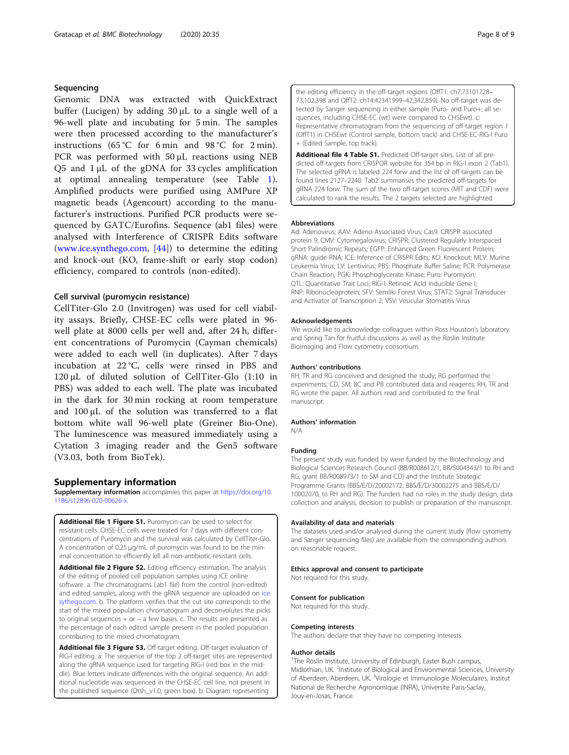#### Sequencing

Genomic DNA was extracted with QuickExtract buffer (Lucigen) by adding 30 μL to a single well of a 96-well plate and incubating for 5 min. The samples were then processed according to the manufacturer's instructions (65 °C for 6 min and 98 °C for 2 min). PCR was performed with 50 μL reactions using NEB Q5 and 1 μL of the gDNA for 33 cycles amplification at optimal annealing temperature (see Table 1). Amplified products were purified using AMPure XP magnetic beads (Agencourt) according to the manufacturer's instructions. Purified PCR products were sequenced by GATC/Eurofins. Sequence (ab1 files) were analysed with Interference of CRISPR Edits software ([www.ice.synthego.com](http://www.ice.synthego.com), [44]) to determine the editing and knock-out (KO, frame-shift or early stop codon) efficiency, compared to controls (non-edited).

#### Cell survival (puromycin resistance)

CellTiter-Glo 2.0 (Invitrogen) was used for cell viability assays. Briefly, CHSE-EC cells were plated in 96 well plate at 8000 cells per well and, after 24 h, different concentrations of Puromycin (Cayman chemicals) were added to each well (in duplicates). After 7 days incubation at 22 °C, cells were rinsed in PBS and 120 μL of diluted solution of CellTiter-Glo (1:10 in PBS) was added to each well. The plate was incubated in the dark for 30 min rocking at room temperature and 100 μL of the solution was transferred to a flat bottom white wall 96-well plate (Greiner Bio-One). The luminescence was measured immediately using a Cytation 3 imaging reader and the Gen5 software (V3.03, both from BioTek).

#### Supplementary information

Supplementary information accompanies this paper at [https://doi.org/10.](https://doi.org/10.1186/s12896-020-00626-x) [1186/s12896-020-00626-x.](https://doi.org/10.1186/s12896-020-00626-x)

Additional file 1 Figure S1. Puromycin can be used to select for resistant cells. CHSE-EC cells were treated for 7 days with different concentrations of Puromycin and the survival was calculated by CellTiter-Glo. A concentration of 0.25 μg/mL of puromycin was found to be the minimal concentration to efficiently kill all non-antibiotic-resistant cells.

Additional file 2 Figure S2. Editing efficiency estimation, The analysis of the editing of pooled cell population samples using ICE online software. a. The chromatograms (.ab1 file) from the control (non-edited) and edited samples, along with the gRNA sequence are uploaded on ice. sythego.com. b. The platform verifies that the cut site corresponds to the start of the mixed population chromatogram and deconvolutes the picks to original sequences  $+$  or  $-$  a few bases. c. The results are presented as the percentage of each edited sample present in the pooled population contributing to the mixed chromatogram.

Additional file 3 Figure S3. Off-target editing. Off-target evaluation of RIG-I editing. a: The sequence of the top 2 off-target sites are represented along the gRNA sequence used for targeting RIG-I (red box in the middle). Blue letters indicate differences with the original sequence. An additional nucleotide was sequenced in the CHSE-EC cell line, not present in the published sequence (Otsh\_v1.0, green box). b: Diagram representing

the editing efficiency in the off-target regions (OffT1: ch7:73101728– 73,102,398 and OffT2: ch14:42341999–42,342,859). No off-target was detected by Sanger sequencing in either sample (Puro- and Puro+; all sequences, including CHSE-EC (wt) were compared to CHSEwt). c: Representative chromatogram from the sequencing of off-target region 1 (OffT1) in CHSEwt (Control sample, bottom track) and CHSE-EC-RIG-I Puro + (Edited Sample, top track).

Additional file 4 Table S1. Predicted Off-target sites. List of all predicted off-targets from CRISPOR website for 354 bp in RIG-I exon 2 (Tab1). The selected gRNA is labeled 224 forw and the list of off-targets can be found lines 2127–2240. Tab2 summarises the predicted off-targets for gRNA 224 forw. The sum of the two off-target scores (MIT and CDF) were calculated to rank the results. The 2 targets selected are highlighted.

#### Abbreviations

Ad: Adenovirus; AAV: Adeno-Associated Virus; Cas9: CRISPR associated protein 9; CMV: Cytomegalovirus; CRISPR: Clustered Regularly Interspaced Short Palindromic Repeats; EGFP: Enhanced Green Fluorescent Protein; gRNA: guide RNA; ICE: Inference of CRISPR Edits; KO: Knockout; MLV: Murine Leukemia Virus; LV: Lentivirus; PBS: Phosphate Buffer Saline; PCR: Polymerase Chain Reaction; PGK: Phosphoglycerate Kinase; Puro: Puromycin; QTL: Quantitative Trait Loci; RIG-I: Retinoic Acid Inducible Gene I; RNP: Ribonucleoprotein; SFV: Semliki Forest Virus; STAT2: Signal Transducer and Activator of Transcription 2; VSV: Vesicular Stomatitis Virus

#### Acknowledgements

We would like to acknowledge colleagues within Ross Houston's laboratory and Spring Tan for fruitful discussions as well as the Roslin Institute Bioimaging and Flow cytometry consortium.

#### Authors' contributions

RH, TR and RG conceived and designed the study; RG performed the experiments; CD, SM, BC and PB contributed data and reagents; RH, TR and RG wrote the paper. All authors read and contributed to the final manuscript.

#### Authors' information

N/A

#### Funding

The present study was funded by were funded by the Biotechnology and Biological Sciences Research Council (BB/R008612/1, BB/S004343/1 to RH and RG; grant BB/R008973/1 to SM and CD) and the Institute Strategic Programme Grants (BBS/E/D/20002172, BBS/E/D/30002275 and BBS/E/D/ 10002070, to RH and RG). The funders had no roles in the study design, data collection and analysis, decision to publish or preparation of the manuscript.

#### Availability of data and materials

The datasets used and/or analysed during the current study (flow cytometry and Sanger sequencing files) are available from the corresponding authors on reasonable request.

#### Ethics approval and consent to participate

Not required for this study.

#### Consent for publication

Not required for this study.

#### Competing interests

The authors declare that they have no competing interests.

#### Author details

<sup>1</sup>The Roslin Institute, University of Edinburgh, Easter Bush campus, Midlothian, UK. <sup>2</sup>Institute of Biological and Environmental Sciences, University of Aberdeen, Aberdeen, UK. <sup>3</sup>Virologie et Immunologie Moleculaires, Institut National de Recherche Agronomique (INRA), Universite Paris-Saclay, Jouy-en-Josas, France.